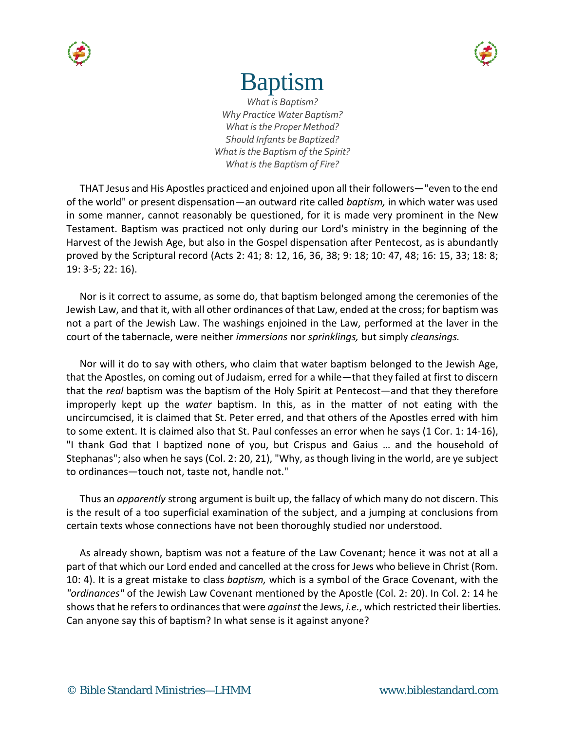



# Baptism

*What is Baptism? Why Practice Water Baptism? What is the Proper Method? Should Infants be Baptized? What is the Baptism of the Spirit? What is the Baptism of Fire?*

THAT Jesus and His Apostles practiced and enjoined upon all their followers—"even to the end of the world" or present dispensation—an outward rite called *baptism,* in which water was used in some manner, cannot reasonably be questioned, for it is made very prominent in the New Testament. Baptism was practiced not only during our Lord's ministry in the beginning of the Harvest of the Jewish Age, but also in the Gospel dispensation after Pentecost, as is abundantly proved by the Scriptural record (Acts 2: 41; 8: 12, 16, 36, 38; 9: 18; 10: 47, 48; 16: 15, 33; 18: 8; 19: 3-5; 22: 16).

Nor is it correct to assume, as some do, that baptism belonged among the ceremonies of the Jewish Law, and that it, with all other ordinances of that Law, ended at the cross; for baptism was not a part of the Jewish Law. The washings enjoined in the Law, performed at the laver in the court of the tabernacle, were neither *immersions* nor *sprinklings,* but simply *cleansings.*

Nor will it do to say with others, who claim that water baptism belonged to the Jewish Age, that the Apostles, on coming out of Judaism, erred for a while—that they failed at first to discern that the *real* baptism was the baptism of the Holy Spirit at Pentecost—and that they therefore improperly kept up the *water* baptism. In this, as in the matter of not eating with the uncircumcised, it is claimed that St. Peter erred, and that others of the Apostles erred with him to some extent. It is claimed also that St. Paul confesses an error when he says (1 Cor. 1: 14-16), "I thank God that I baptized none of you, but Crispus and Gaius … and the household of Stephanas"; also when he says (Col. 2: 20, 21), "Why, as though living in the world, are ye subject to ordinances—touch not, taste not, handle not."

Thus an *apparently* strong argument is built up, the fallacy of which many do not discern. This is the result of a too superficial examination of the subject, and a jumping at conclusions from certain texts whose connections have not been thoroughly studied nor understood.

As already shown, baptism was not a feature of the Law Covenant; hence it was not at all a part of that which our Lord ended and cancelled at the cross for Jews who believe in Christ (Rom. 10: 4). It is a great mistake to class *baptism,* which is a symbol of the Grace Covenant, with the *"ordinances"* of the Jewish Law Covenant mentioned by the Apostle (Col. 2: 20). In Col. 2: 14 he shows that he refers to ordinances that were *against* the Jews, *i.e.*, which restricted their liberties. Can anyone say this of baptism? In what sense is it against anyone?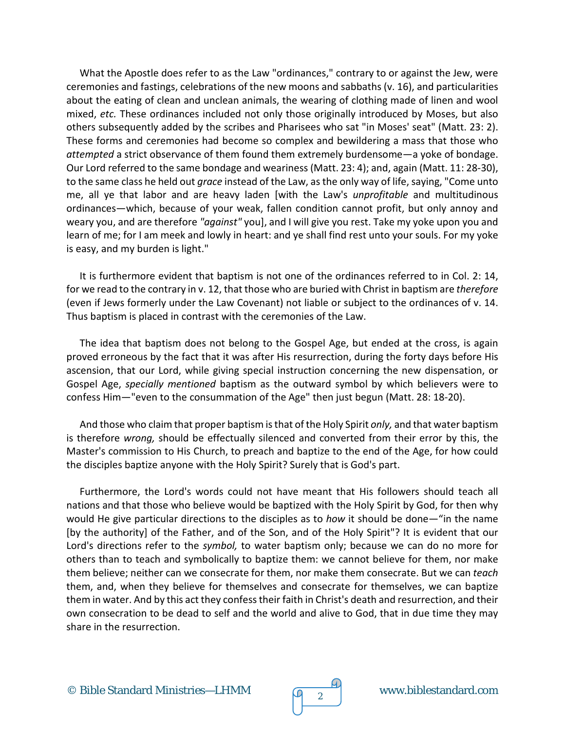What the Apostle does refer to as the Law "ordinances," contrary to or against the Jew, were ceremonies and fastings, celebrations of the new moons and sabbaths (v. 16), and particularities about the eating of clean and unclean animals, the wearing of clothing made of linen and wool mixed, *etc.* These ordinances included not only those originally introduced by Moses, but also others subsequently added by the scribes and Pharisees who sat "in Moses' seat" (Matt. 23: 2). These forms and ceremonies had become so complex and bewildering a mass that those who *attempted* a strict observance of them found them extremely burdensome—a yoke of bondage. Our Lord referred to the same bondage and weariness (Matt. 23: 4); and, again (Matt. 11: 28-30), to the same class he held out *grace* instead of the Law, as the only way of life, saying, "Come unto me, all ye that labor and are heavy laden [with the Law's *unprofitable* and multitudinous ordinances—which, because of your weak, fallen condition cannot profit, but only annoy and weary you, and are therefore *"against"* you], and I will give you rest. Take my yoke upon you and learn of me; for I am meek and lowly in heart: and ye shall find rest unto your souls. For my yoke is easy, and my burden is light."

It is furthermore evident that baptism is not one of the ordinances referred to in Col. 2: 14, for we read to the contrary in v. 12, that those who are buried with Christ in baptism are *therefore* (even if Jews formerly under the Law Covenant) not liable or subject to the ordinances of v. 14. Thus baptism is placed in contrast with the ceremonies of the Law.

The idea that baptism does not belong to the Gospel Age, but ended at the cross, is again proved erroneous by the fact that it was after His resurrection, during the forty days before His ascension, that our Lord, while giving special instruction concerning the new dispensation, or Gospel Age, *specially mentioned* baptism as the outward symbol by which believers were to confess Him—"even to the consummation of the Age" then just begun (Matt. 28: 18-20).

And those who claim that proper baptism is that of the Holy Spirit *only,* and that water baptism is therefore *wrong,* should be effectually silenced and converted from their error by this, the Master's commission to His Church, to preach and baptize to the end of the Age, for how could the disciples baptize anyone with the Holy Spirit? Surely that is God's part.

Furthermore, the Lord's words could not have meant that His followers should teach all nations and that those who believe would be baptized with the Holy Spirit by God, for then why would He give particular directions to the disciples as to *how* it should be done—"in the name [by the authority] of the Father, and of the Son, and of the Holy Spirit"? It is evident that our Lord's directions refer to the *symbol,* to water baptism only; because we can do no more for others than to teach and symbolically to baptize them: we cannot believe for them, nor make them believe; neither can we consecrate for them, nor make them consecrate. But we can *teach* them, and, when they believe for themselves and consecrate for themselves, we can baptize them in water. And by this act they confess their faith in Christ's death and resurrection, and their own consecration to be dead to self and the world and alive to God, that in due time they may share in the resurrection.

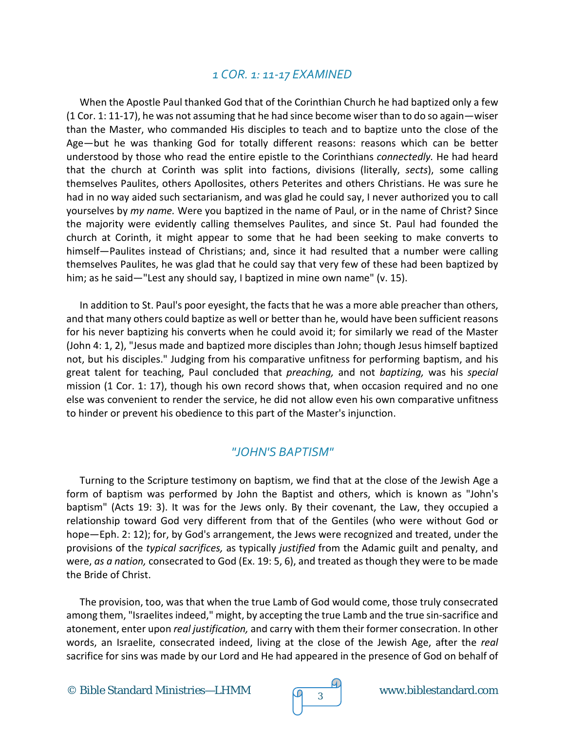#### *1 COR. 1: 11-17 EXAMINED*

When the Apostle Paul thanked God that of the Corinthian Church he had baptized only a few (1 Cor. 1: 11-17), he was not assuming that he had since become wiser than to do so again—wiser than the Master, who commanded His disciples to teach and to baptize unto the close of the Age—but he was thanking God for totally different reasons: reasons which can be better understood by those who read the entire epistle to the Corinthians *connectedly.* He had heard that the church at Corinth was split into factions, divisions (literally, *sects*), some calling themselves Paulites, others Apollosites, others Peterites and others Christians. He was sure he had in no way aided such sectarianism, and was glad he could say, I never authorized you to call yourselves by *my name.* Were you baptized in the name of Paul, or in the name of Christ? Since the majority were evidently calling themselves Paulites, and since St. Paul had founded the church at Corinth, it might appear to some that he had been seeking to make converts to himself—Paulites instead of Christians; and, since it had resulted that a number were calling themselves Paulites, he was glad that he could say that very few of these had been baptized by him; as he said—"Lest any should say, I baptized in mine own name" (v. 15).

In addition to St. Paul's poor eyesight, the facts that he was a more able preacher than others, and that many others could baptize as well or better than he, would have been sufficient reasons for his never baptizing his converts when he could avoid it; for similarly we read of the Master (John 4: 1, 2), "Jesus made and baptized more disciples than John; though Jesus himself baptized not, but his disciples." Judging from his comparative unfitness for performing baptism, and his great talent for teaching, Paul concluded that *preaching,* and not *baptizing,* was his *special* mission (1 Cor. 1: 17), though his own record shows that, when occasion required and no one else was convenient to render the service, he did not allow even his own comparative unfitness to hinder or prevent his obedience to this part of the Master's injunction.

#### *"JOHN'S BAPTISM"*

Turning to the Scripture testimony on baptism, we find that at the close of the Jewish Age a form of baptism was performed by John the Baptist and others, which is known as "John's baptism" (Acts 19: 3). It was for the Jews only. By their covenant, the Law, they occupied a relationship toward God very different from that of the Gentiles (who were without God or hope—Eph. 2: 12); for, by God's arrangement, the Jews were recognized and treated, under the provisions of the *typical sacrifices,* as typically *justified* from the Adamic guilt and penalty, and were, *as a nation,* consecrated to God (Ex. 19: 5, 6), and treated as though they were to be made the Bride of Christ.

The provision, too, was that when the true Lamb of God would come, those truly consecrated among them, "Israelites indeed," might, by accepting the true Lamb and the true sin-sacrifice and atonement, enter upon *real justification,* and carry with them their former consecration. In other words, an Israelite, consecrated indeed, living at the close of the Jewish Age, after the *real* sacrifice for sins was made by our Lord and He had appeared in the presence of God on behalf of

© Bible Standard Ministries—LHMM  $\sqrt{q}$  3

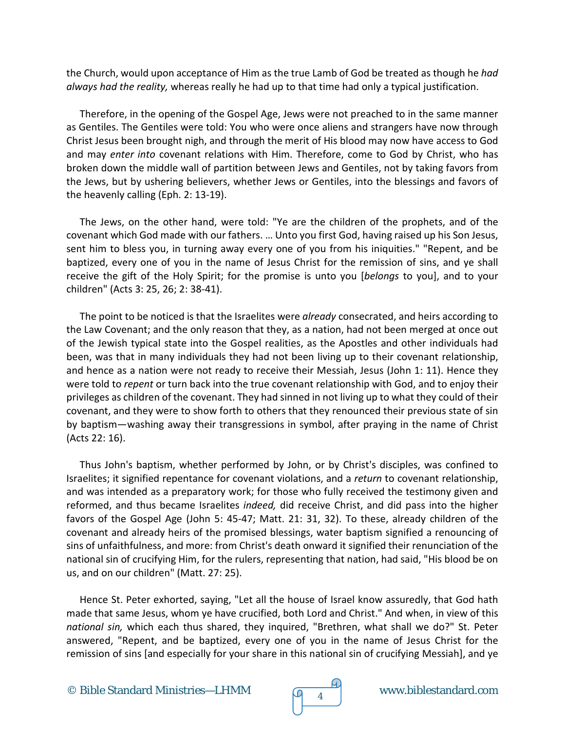the Church, would upon acceptance of Him as the true Lamb of God be treated as though he *had always had the reality,* whereas really he had up to that time had only a typical justification.

Therefore, in the opening of the Gospel Age, Jews were not preached to in the same manner as Gentiles. The Gentiles were told: You who were once aliens and strangers have now through Christ Jesus been brought nigh, and through the merit of His blood may now have access to God and may *enter into* covenant relations with Him. Therefore, come to God by Christ, who has broken down the middle wall of partition between Jews and Gentiles, not by taking favors from the Jews, but by ushering believers, whether Jews or Gentiles, into the blessings and favors of the heavenly calling (Eph. 2: 13-19).

The Jews, on the other hand, were told: "Ye are the children of the prophets, and of the covenant which God made with our fathers. … Unto you first God, having raised up his Son Jesus, sent him to bless you, in turning away every one of you from his iniquities." "Repent, and be baptized, every one of you in the name of Jesus Christ for the remission of sins, and ye shall receive the gift of the Holy Spirit; for the promise is unto you [*belongs* to you], and to your children" (Acts 3: 25, 26; 2: 38-41).

The point to be noticed is that the Israelites were *already* consecrated, and heirs according to the Law Covenant; and the only reason that they, as a nation, had not been merged at once out of the Jewish typical state into the Gospel realities, as the Apostles and other individuals had been, was that in many individuals they had not been living up to their covenant relationship, and hence as a nation were not ready to receive their Messiah, Jesus (John 1: 11). Hence they were told to *repent* or turn back into the true covenant relationship with God, and to enjoy their privileges as children of the covenant. They had sinned in not living up to what they could of their covenant, and they were to show forth to others that they renounced their previous state of sin by baptism—washing away their transgressions in symbol, after praying in the name of Christ (Acts 22: 16).

Thus John's baptism, whether performed by John, or by Christ's disciples, was confined to Israelites; it signified repentance for covenant violations, and a *return* to covenant relationship, and was intended as a preparatory work; for those who fully received the testimony given and reformed, and thus became Israelites *indeed,* did receive Christ, and did pass into the higher favors of the Gospel Age (John 5: 45-47; Matt. 21: 31, 32). To these, already children of the covenant and already heirs of the promised blessings, water baptism signified a renouncing of sins of unfaithfulness, and more: from Christ's death onward it signified their renunciation of the national sin of crucifying Him, for the rulers, representing that nation, had said, "His blood be on us, and on our children" (Matt. 27: 25).

Hence St. Peter exhorted, saying, "Let all the house of Israel know assuredly, that God hath made that same Jesus, whom ye have crucified, both Lord and Christ." And when, in view of this *national sin,* which each thus shared, they inquired, "Brethren, what shall we do?" St. Peter answered, "Repent, and be baptized, every one of you in the name of Jesus Christ for the remission of sins [and especially for your share in this national sin of crucifying Messiah], and ye

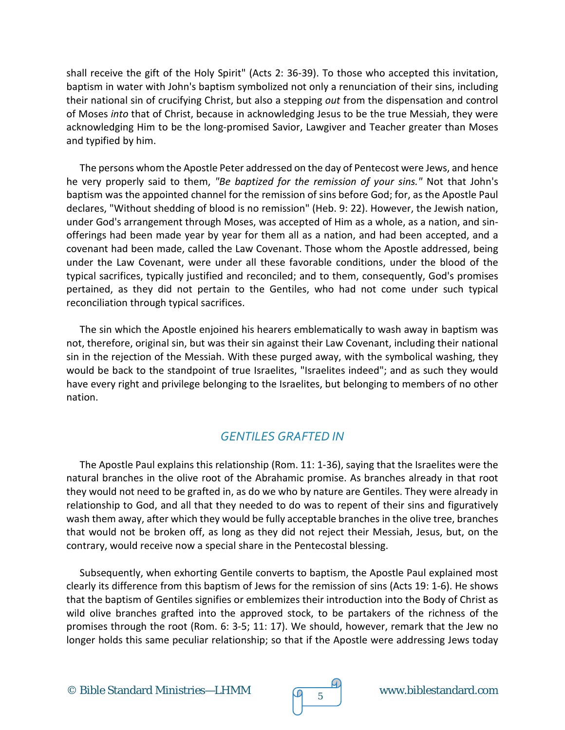shall receive the gift of the Holy Spirit" (Acts 2: 36-39). To those who accepted this invitation, baptism in water with John's baptism symbolized not only a renunciation of their sins, including their national sin of crucifying Christ, but also a stepping *out* from the dispensation and control of Moses *into* that of Christ, because in acknowledging Jesus to be the true Messiah, they were acknowledging Him to be the long-promised Savior, Lawgiver and Teacher greater than Moses and typified by him.

The persons whom the Apostle Peter addressed on the day of Pentecost were Jews, and hence he very properly said to them, *"Be baptized for the remission of your sins."* Not that John's baptism was the appointed channel for the remission of sins before God; for, as the Apostle Paul declares, "Without shedding of blood is no remission" (Heb. 9: 22). However, the Jewish nation, under God's arrangement through Moses, was accepted of Him as a whole, as a nation, and sinofferings had been made year by year for them all as a nation, and had been accepted, and a covenant had been made, called the Law Covenant. Those whom the Apostle addressed, being under the Law Covenant, were under all these favorable conditions, under the blood of the typical sacrifices, typically justified and reconciled; and to them, consequently, God's promises pertained, as they did not pertain to the Gentiles, who had not come under such typical reconciliation through typical sacrifices.

The sin which the Apostle enjoined his hearers emblematically to wash away in baptism was not, therefore, original sin, but was their sin against their Law Covenant, including their national sin in the rejection of the Messiah. With these purged away, with the symbolical washing, they would be back to the standpoint of true Israelites, "Israelites indeed"; and as such they would have every right and privilege belonging to the Israelites, but belonging to members of no other nation.

# *GENTILES GRAFTED IN*

The Apostle Paul explains this relationship (Rom. 11: 1-36), saying that the Israelites were the natural branches in the olive root of the Abrahamic promise. As branches already in that root they would not need to be grafted in, as do we who by nature are Gentiles. They were already in relationship to God, and all that they needed to do was to repent of their sins and figuratively wash them away, after which they would be fully acceptable branches in the olive tree, branches that would not be broken off, as long as they did not reject their Messiah, Jesus, but, on the contrary, would receive now a special share in the Pentecostal blessing.

Subsequently, when exhorting Gentile converts to baptism, the Apostle Paul explained most clearly its difference from this baptism of Jews for the remission of sins (Acts 19: 1-6). He shows that the baptism of Gentiles signifies or emblemizes their introduction into the Body of Christ as wild olive branches grafted into the approved stock, to be partakers of the richness of the promises through the root (Rom. 6: 3-5; 11: 17). We should, however, remark that the Jew no longer holds this same peculiar relationship; so that if the Apostle were addressing Jews today

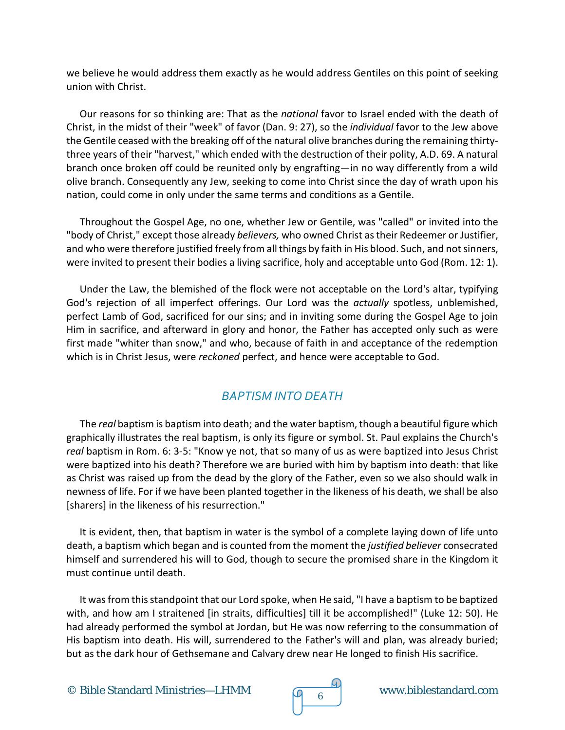we believe he would address them exactly as he would address Gentiles on this point of seeking union with Christ.

Our reasons for so thinking are: That as the *national* favor to Israel ended with the death of Christ, in the midst of their "week" of favor (Dan. 9: 27), so the *individual* favor to the Jew above the Gentile ceased with the breaking off of the natural olive branches during the remaining thirtythree years of their "harvest," which ended with the destruction of their polity, A.D. 69. A natural branch once broken off could be reunited only by engrafting—in no way differently from a wild olive branch. Consequently any Jew, seeking to come into Christ since the day of wrath upon his nation, could come in only under the same terms and conditions as a Gentile.

Throughout the Gospel Age, no one, whether Jew or Gentile, was "called" or invited into the "body of Christ," except those already *believers,* who owned Christ as their Redeemer or Justifier, and who were therefore justified freely from all things by faith in His blood. Such, and not sinners, were invited to present their bodies a living sacrifice, holy and acceptable unto God (Rom. 12: 1).

Under the Law, the blemished of the flock were not acceptable on the Lord's altar, typifying God's rejection of all imperfect offerings. Our Lord was the *actually* spotless, unblemished, perfect Lamb of God, sacrificed for our sins; and in inviting some during the Gospel Age to join Him in sacrifice, and afterward in glory and honor, the Father has accepted only such as were first made "whiter than snow," and who, because of faith in and acceptance of the redemption which is in Christ Jesus, were *reckoned* perfect, and hence were acceptable to God.

# *BAPTISM INTO DEATH*

The *real* baptism is baptism into death; and the water baptism, though a beautiful figure which graphically illustrates the real baptism, is only its figure or symbol. St. Paul explains the Church's *real* baptism in Rom. 6: 3-5: "Know ye not, that so many of us as were baptized into Jesus Christ were baptized into his death? Therefore we are buried with him by baptism into death: that like as Christ was raised up from the dead by the glory of the Father, even so we also should walk in newness of life. For if we have been planted together in the likeness of his death, we shall be also [sharers] in the likeness of his resurrection."

It is evident, then, that baptism in water is the symbol of a complete laying down of life unto death, a baptism which began and is counted from the moment the *justified believer* consecrated himself and surrendered his will to God, though to secure the promised share in the Kingdom it must continue until death.

It was from this standpoint that our Lord spoke, when He said, "I have a baptism to be baptized with, and how am I straitened [in straits, difficulties] till it be accomplished!" (Luke 12: 50). He had already performed the symbol at Jordan, but He was now referring to the consummation of His baptism into death. His will, surrendered to the Father's will and plan, was already buried; but as the dark hour of Gethsemane and Calvary drew near He longed to finish His sacrifice.

© Bible Standard Ministries—LHMM  $\sqrt{9}$  6



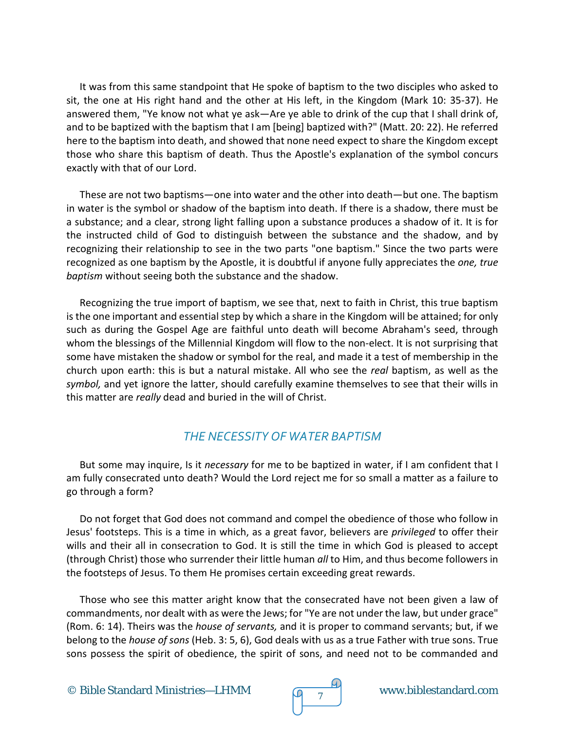It was from this same standpoint that He spoke of baptism to the two disciples who asked to sit, the one at His right hand and the other at His left, in the Kingdom (Mark 10: 35-37). He answered them, "Ye know not what ye ask—Are ye able to drink of the cup that I shall drink of, and to be baptized with the baptism that I am [being] baptized with?" (Matt. 20: 22). He referred here to the baptism into death, and showed that none need expect to share the Kingdom except those who share this baptism of death. Thus the Apostle's explanation of the symbol concurs exactly with that of our Lord.

These are not two baptisms—one into water and the other into death—but one. The baptism in water is the symbol or shadow of the baptism into death. If there is a shadow, there must be a substance; and a clear, strong light falling upon a substance produces a shadow of it. It is for the instructed child of God to distinguish between the substance and the shadow, and by recognizing their relationship to see in the two parts "one baptism." Since the two parts were recognized as one baptism by the Apostle, it is doubtful if anyone fully appreciates the *one, true baptism* without seeing both the substance and the shadow.

Recognizing the true import of baptism, we see that, next to faith in Christ, this true baptism is the one important and essential step by which a share in the Kingdom will be attained; for only such as during the Gospel Age are faithful unto death will become Abraham's seed, through whom the blessings of the Millennial Kingdom will flow to the non-elect. It is not surprising that some have mistaken the shadow or symbol for the real, and made it a test of membership in the church upon earth: this is but a natural mistake. All who see the *real* baptism, as well as the *symbol,* and yet ignore the latter, should carefully examine themselves to see that their wills in this matter are *really* dead and buried in the will of Christ.

# *THE NECESSITY OF WATER BAPTISM*

But some may inquire, Is it *necessary* for me to be baptized in water, if I am confident that I am fully consecrated unto death? Would the Lord reject me for so small a matter as a failure to go through a form?

Do not forget that God does not command and compel the obedience of those who follow in Jesus' footsteps. This is a time in which, as a great favor, believers are *privileged* to offer their wills and their all in consecration to God. It is still the time in which God is pleased to accept (through Christ) those who surrender their little human *all* to Him, and thus become followers in the footsteps of Jesus. To them He promises certain exceeding great rewards.

Those who see this matter aright know that the consecrated have not been given a law of commandments, nor dealt with as were the Jews; for "Ye are not under the law, but under grace" (Rom. 6: 14). Theirs was the *house of servants,* and it is proper to command servants; but, if we belong to the *house of sons* (Heb. 3: 5, 6), God deals with us as a true Father with true sons. True sons possess the spirit of obedience, the spirit of sons, and need not to be commanded and

© Bible Standard Ministries—LHMM  $\overline{O}$   $\overline{7}$  www.biblestandard.com

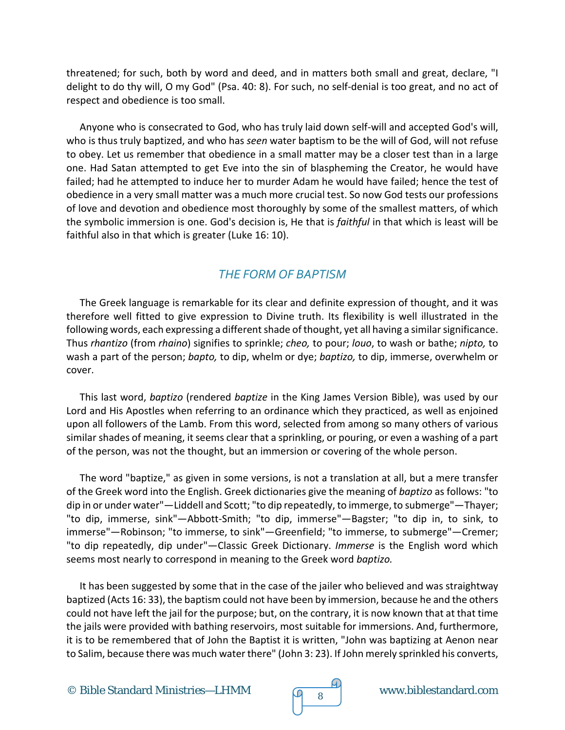threatened; for such, both by word and deed, and in matters both small and great, declare, "I delight to do thy will, O my God" (Psa. 40: 8). For such, no self-denial is too great, and no act of respect and obedience is too small.

Anyone who is consecrated to God, who has truly laid down self-will and accepted God's will, who is thus truly baptized, and who has *seen* water baptism to be the will of God, will not refuse to obey. Let us remember that obedience in a small matter may be a closer test than in a large one. Had Satan attempted to get Eve into the sin of blaspheming the Creator, he would have failed; had he attempted to induce her to murder Adam he would have failed; hence the test of obedience in a very small matter was a much more crucial test. So now God tests our professions of love and devotion and obedience most thoroughly by some of the smallest matters, of which the symbolic immersion is one. God's decision is, He that is *faithful* in that which is least will be faithful also in that which is greater (Luke 16: 10).

#### *THE FORM OF BAPTISM*

The Greek language is remarkable for its clear and definite expression of thought, and it was therefore well fitted to give expression to Divine truth. Its flexibility is well illustrated in the following words, each expressing a different shade of thought, yet all having a similar significance. Thus *rhantizo* (from *rhaino*) signifies to sprinkle; *cheo,* to pour; *louo*, to wash or bathe; *nipto,* to wash a part of the person; *bapto,* to dip, whelm or dye; *baptizo,* to dip, immerse, overwhelm or cover.

This last word, *baptizo* (rendered *baptize* in the King James Version Bible), was used by our Lord and His Apostles when referring to an ordinance which they practiced, as well as enjoined upon all followers of the Lamb. From this word, selected from among so many others of various similar shades of meaning, it seems clear that a sprinkling, or pouring, or even a washing of a part of the person, was not the thought, but an immersion or covering of the whole person.

The word "baptize," as given in some versions, is not a translation at all, but a mere transfer of the Greek word into the English. Greek dictionaries give the meaning of *baptizo* as follows: "to dip in or under water"—Liddell and Scott; "to dip repeatedly, to immerge, to submerge"—Thayer; "to dip, immerse, sink"—Abbott-Smith; "to dip, immerse"—Bagster; "to dip in, to sink, to immerse"—Robinson; "to immerse, to sink"—Greenfield; "to immerse, to submerge"—Cremer; "to dip repeatedly, dip under"—Classic Greek Dictionary. *Immerse* is the English word which seems most nearly to correspond in meaning to the Greek word *baptizo.*

It has been suggested by some that in the case of the jailer who believed and was straightway baptized (Acts 16: 33), the baptism could not have been by immersion, because he and the others could not have left the jail for the purpose; but, on the contrary, it is now known that at that time the jails were provided with bathing reservoirs, most suitable for immersions. And, furthermore, it is to be remembered that of John the Baptist it is written, "John was baptizing at Aenon near to Salim, because there was much water there" (John 3: 23). If John merely sprinkled his converts,

© Bible Standard Ministries—LHMM  $\sqrt{9}$  8 www.biblestandard.com

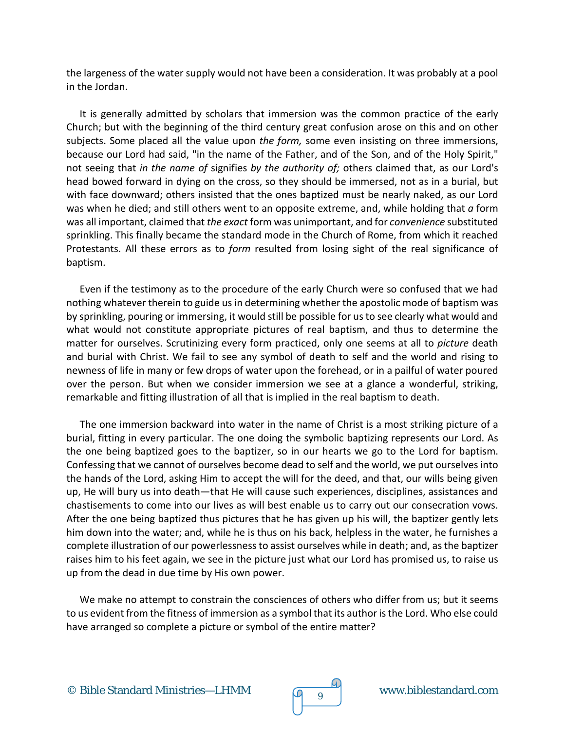the largeness of the water supply would not have been a consideration. It was probably at a pool in the Jordan.

It is generally admitted by scholars that immersion was the common practice of the early Church; but with the beginning of the third century great confusion arose on this and on other subjects. Some placed all the value upon *the form,* some even insisting on three immersions, because our Lord had said, "in the name of the Father, and of the Son, and of the Holy Spirit," not seeing that *in the name of* signifies *by the authority of;* others claimed that, as our Lord's head bowed forward in dying on the cross, so they should be immersed, not as in a burial, but with face downward; others insisted that the ones baptized must be nearly naked, as our Lord was when he died; and still others went to an opposite extreme, and, while holding that *a* form was all important, claimed that *the exact* form was unimportant, and for *convenience* substituted sprinkling. This finally became the standard mode in the Church of Rome, from which it reached Protestants. All these errors as to *form* resulted from losing sight of the real significance of baptism.

Even if the testimony as to the procedure of the early Church were so confused that we had nothing whatever therein to guide us in determining whether the apostolic mode of baptism was by sprinkling, pouring or immersing, it would still be possible for us to see clearly what would and what would not constitute appropriate pictures of real baptism, and thus to determine the matter for ourselves. Scrutinizing every form practiced, only one seems at all to *picture* death and burial with Christ. We fail to see any symbol of death to self and the world and rising to newness of life in many or few drops of water upon the forehead, or in a pailful of water poured over the person. But when we consider immersion we see at a glance a wonderful, striking, remarkable and fitting illustration of all that is implied in the real baptism to death.

The one immersion backward into water in the name of Christ is a most striking picture of a burial, fitting in every particular. The one doing the symbolic baptizing represents our Lord. As the one being baptized goes to the baptizer, so in our hearts we go to the Lord for baptism. Confessing that we cannot of ourselves become dead to self and the world, we put ourselves into the hands of the Lord, asking Him to accept the will for the deed, and that, our wills being given up, He will bury us into death—that He will cause such experiences, disciplines, assistances and chastisements to come into our lives as will best enable us to carry out our consecration vows. After the one being baptized thus pictures that he has given up his will, the baptizer gently lets him down into the water; and, while he is thus on his back, helpless in the water, he furnishes a complete illustration of our powerlessness to assist ourselves while in death; and, as the baptizer raises him to his feet again, we see in the picture just what our Lord has promised us, to raise us up from the dead in due time by His own power.

We make no attempt to constrain the consciences of others who differ from us; but it seems to us evident from the fitness of immersion as a symbol that its author is the Lord. Who else could have arranged so complete a picture or symbol of the entire matter?



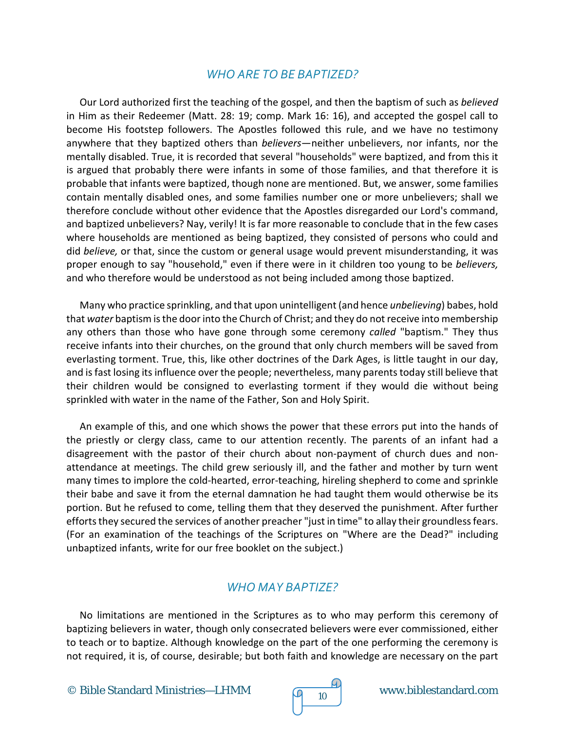#### *WHO ARE TO BE BAPTIZED?*

Our Lord authorized first the teaching of the gospel, and then the baptism of such as *believed* in Him as their Redeemer (Matt. 28: 19; comp. Mark 16: 16), and accepted the gospel call to become His footstep followers. The Apostles followed this rule, and we have no testimony anywhere that they baptized others than *believers*—neither unbelievers, nor infants, nor the mentally disabled. True, it is recorded that several "households" were baptized, and from this it is argued that probably there were infants in some of those families, and that therefore it is probable that infants were baptized, though none are mentioned. But, we answer, some families contain mentally disabled ones, and some families number one or more unbelievers; shall we therefore conclude without other evidence that the Apostles disregarded our Lord's command, and baptized unbelievers? Nay, verily! It is far more reasonable to conclude that in the few cases where households are mentioned as being baptized, they consisted of persons who could and did *believe,* or that, since the custom or general usage would prevent misunderstanding, it was proper enough to say "household," even if there were in it children too young to be *believers,* and who therefore would be understood as not being included among those baptized.

Many who practice sprinkling, and that upon unintelligent (and hence *unbelieving*) babes, hold that *water* baptism is the door into the Church of Christ; and they do not receive into membership any others than those who have gone through some ceremony *called* "baptism." They thus receive infants into their churches, on the ground that only church members will be saved from everlasting torment. True, this, like other doctrines of the Dark Ages, is little taught in our day, and is fast losing its influence over the people; nevertheless, many parents today still believe that their children would be consigned to everlasting torment if they would die without being sprinkled with water in the name of the Father, Son and Holy Spirit.

An example of this, and one which shows the power that these errors put into the hands of the priestly or clergy class, came to our attention recently. The parents of an infant had a disagreement with the pastor of their church about non-payment of church dues and nonattendance at meetings. The child grew seriously ill, and the father and mother by turn went many times to implore the cold-hearted, error-teaching, hireling shepherd to come and sprinkle their babe and save it from the eternal damnation he had taught them would otherwise be its portion. But he refused to come, telling them that they deserved the punishment. After further efforts they secured the services of another preacher "just in time" to allay their groundless fears. (For an examination of the teachings of the Scriptures on "Where are the Dead?" including unbaptized infants, write for our free booklet on the subject.)

# *WHO MAY BAPTIZE?*

No limitations are mentioned in the Scriptures as to who may perform this ceremony of baptizing believers in water, though only consecrated believers were ever commissioned, either to teach or to baptize. Although knowledge on the part of the one performing the ceremony is not required, it is, of course, desirable; but both faith and knowledge are necessary on the part

© Bible Standard Ministries—LHMM  $\sqrt{9}$  10 www.biblestandard.com

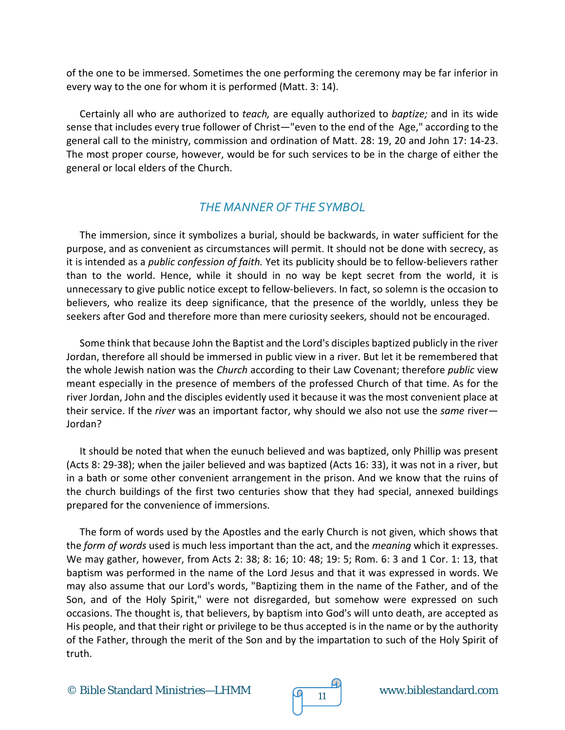of the one to be immersed. Sometimes the one performing the ceremony may be far inferior in every way to the one for whom it is performed (Matt. 3: 14).

Certainly all who are authorized to *teach,* are equally authorized to *baptize;* and in its wide sense that includes every true follower of Christ—"even to the end of the Age," according to the general call to the ministry, commission and ordination of Matt. 28: 19, 20 and John 17: 14-23. The most proper course, however, would be for such services to be in the charge of either the general or local elders of the Church.

#### *THE MANNER OF THE SYMBOL*

The immersion, since it symbolizes a burial, should be backwards, in water sufficient for the purpose, and as convenient as circumstances will permit. It should not be done with secrecy, as it is intended as a *public confession of faith.* Yet its publicity should be to fellow-believers rather than to the world. Hence, while it should in no way be kept secret from the world, it is unnecessary to give public notice except to fellow-believers. In fact, so solemn is the occasion to believers, who realize its deep significance, that the presence of the worldly, unless they be seekers after God and therefore more than mere curiosity seekers, should not be encouraged.

Some think that because John the Baptist and the Lord's disciples baptized publicly in the river Jordan, therefore all should be immersed in public view in a river. But let it be remembered that the whole Jewish nation was the *Church* according to their Law Covenant; therefore *public* view meant especially in the presence of members of the professed Church of that time. As for the river Jordan, John and the disciples evidently used it because it was the most convenient place at their service. If the *river* was an important factor, why should we also not use the *same* river— Jordan?

It should be noted that when the eunuch believed and was baptized, only Phillip was present (Acts 8: 29-38); when the jailer believed and was baptized (Acts 16: 33), it was not in a river, but in a bath or some other convenient arrangement in the prison. And we know that the ruins of the church buildings of the first two centuries show that they had special, annexed buildings prepared for the convenience of immersions.

The form of words used by the Apostles and the early Church is not given, which shows that the *form of words* used is much less important than the act, and the *meaning* which it expresses. We may gather, however, from Acts 2: 38; 8: 16; 10: 48; 19: 5; Rom. 6: 3 and 1 Cor. 1: 13, that baptism was performed in the name of the Lord Jesus and that it was expressed in words. We may also assume that our Lord's words, "Baptizing them in the name of the Father, and of the Son, and of the Holy Spirit," were not disregarded, but somehow were expressed on such occasions. The thought is, that believers, by baptism into God's will unto death, are accepted as His people, and that their right or privilege to be thus accepted is in the name or by the authority of the Father, through the merit of the Son and by the impartation to such of the Holy Spirit of truth.

© Bible Standard Ministries—LHMM  $\sqrt{q}$  11 www.biblestandard.com

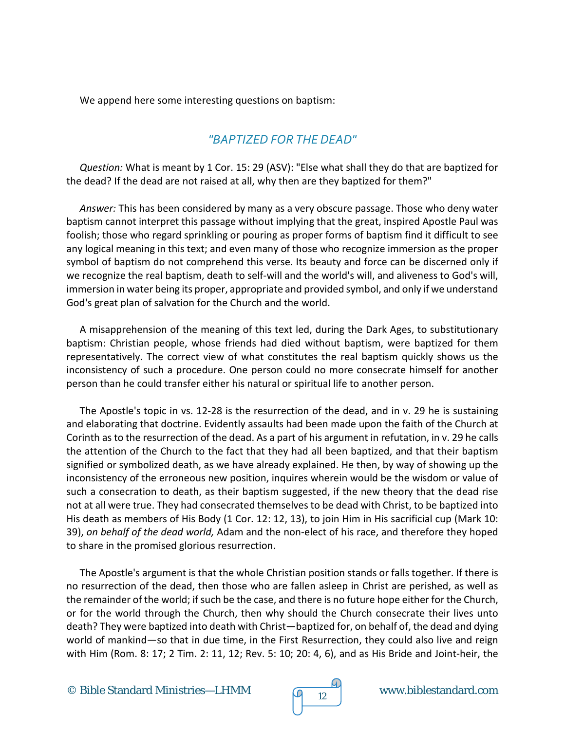We append here some interesting questions on baptism:

#### *"BAPTIZED FOR THE DEAD"*

*Question:* What is meant by 1 Cor. 15: 29 (ASV): "Else what shall they do that are baptized for the dead? If the dead are not raised at all, why then are they baptized for them?"

*Answer:* This has been considered by many as a very obscure passage. Those who deny water baptism cannot interpret this passage without implying that the great, inspired Apostle Paul was foolish; those who regard sprinkling or pouring as proper forms of baptism find it difficult to see any logical meaning in this text; and even many of those who recognize immersion as the proper symbol of baptism do not comprehend this verse. Its beauty and force can be discerned only if we recognize the real baptism, death to self-will and the world's will, and aliveness to God's will, immersion in water being its proper, appropriate and provided symbol, and only if we understand God's great plan of salvation for the Church and the world.

A misapprehension of the meaning of this text led, during the Dark Ages, to substitutionary baptism: Christian people, whose friends had died without baptism, were baptized for them representatively. The correct view of what constitutes the real baptism quickly shows us the inconsistency of such a procedure. One person could no more consecrate himself for another person than he could transfer either his natural or spiritual life to another person.

The Apostle's topic in vs. 12-28 is the resurrection of the dead, and in v. 29 he is sustaining and elaborating that doctrine. Evidently assaults had been made upon the faith of the Church at Corinth as to the resurrection of the dead. As a part of his argument in refutation, in v. 29 he calls the attention of the Church to the fact that they had all been baptized, and that their baptism signified or symbolized death, as we have already explained. He then, by way of showing up the inconsistency of the erroneous new position, inquires wherein would be the wisdom or value of such a consecration to death, as their baptism suggested, if the new theory that the dead rise not at all were true. They had consecrated themselves to be dead with Christ, to be baptized into His death as members of His Body (1 Cor. 12: 12, 13), to join Him in His sacrificial cup (Mark 10: 39), *on behalf of the dead world,* Adam and the non-elect of his race, and therefore they hoped to share in the promised glorious resurrection.

The Apostle's argument is that the whole Christian position stands or falls together. If there is no resurrection of the dead, then those who are fallen asleep in Christ are perished, as well as the remainder of the world; if such be the case, and there is no future hope either for the Church, or for the world through the Church, then why should the Church consecrate their lives unto death? They were baptized into death with Christ—baptized for, on behalf of, the dead and dying world of mankind—so that in due time, in the First Resurrection, they could also live and reign with Him (Rom. 8: 17; 2 Tim. 2: 11, 12; Rev. 5: 10; 20: 4, 6), and as His Bride and Joint-heir, the

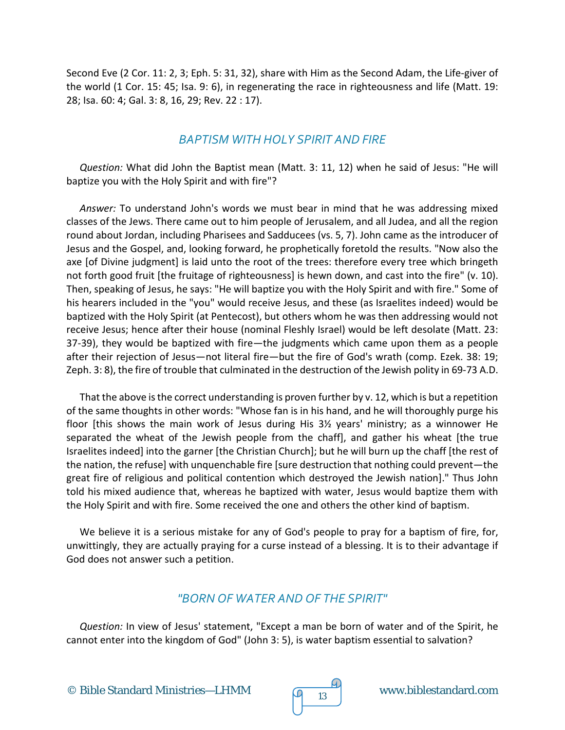Second Eve (2 Cor. 11: 2, 3; Eph. 5: 31, 32), share with Him as the Second Adam, the Life-giver of the world (1 Cor. 15: 45; Isa. 9: 6), in regenerating the race in righteousness and life (Matt. 19: 28; Isa. 60: 4; Gal. 3: 8, 16, 29; Rev. 22 : 17).

#### *BAPTISM WITH HOLY SPIRIT AND FIRE*

*Question:* What did John the Baptist mean (Matt. 3: 11, 12) when he said of Jesus: "He will baptize you with the Holy Spirit and with fire"?

*Answer:* To understand John's words we must bear in mind that he was addressing mixed classes of the Jews. There came out to him people of Jerusalem, and all Judea, and all the region round about Jordan, including Pharisees and Sadducees (vs. 5, 7). John came as the introducer of Jesus and the Gospel, and, looking forward, he prophetically foretold the results. "Now also the axe [of Divine judgment] is laid unto the root of the trees: therefore every tree which bringeth not forth good fruit [the fruitage of righteousness] is hewn down, and cast into the fire" (v. 10). Then, speaking of Jesus, he says: "He will baptize you with the Holy Spirit and with fire." Some of his hearers included in the "you" would receive Jesus, and these (as Israelites indeed) would be baptized with the Holy Spirit (at Pentecost), but others whom he was then addressing would not receive Jesus; hence after their house (nominal Fleshly Israel) would be left desolate (Matt. 23: 37-39), they would be baptized with fire—the judgments which came upon them as a people after their rejection of Jesus—not literal fire—but the fire of God's wrath (comp. Ezek. 38: 19; Zeph. 3: 8), the fire of trouble that culminated in the destruction of the Jewish polity in 69-73 A.D.

That the above is the correct understanding is proven further by v. 12, which is but a repetition of the same thoughts in other words: "Whose fan is in his hand, and he will thoroughly purge his floor [this shows the main work of Jesus during His 3½ years' ministry; as a winnower He separated the wheat of the Jewish people from the chaff], and gather his wheat [the true Israelites indeed] into the garner [the Christian Church]; but he will burn up the chaff [the rest of the nation, the refuse] with unquenchable fire [sure destruction that nothing could prevent—the great fire of religious and political contention which destroyed the Jewish nation]." Thus John told his mixed audience that, whereas he baptized with water, Jesus would baptize them with the Holy Spirit and with fire. Some received the one and others the other kind of baptism.

We believe it is a serious mistake for any of God's people to pray for a baptism of fire, for, unwittingly, they are actually praying for a curse instead of a blessing. It is to their advantage if God does not answer such a petition.

# *"BORN OF WATER AND OF THE SPIRIT"*

*Question:* In view of Jesus' statement, "Except a man be born of water and of the Spirit, he cannot enter into the kingdom of God" (John 3: 5), is water baptism essential to salvation?



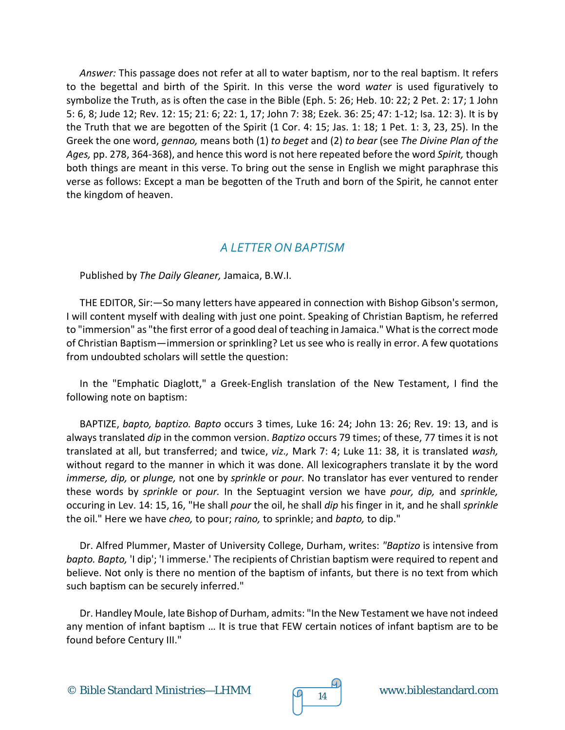*Answer:* This passage does not refer at all to water baptism, nor to the real baptism. It refers to the begettal and birth of the Spirit. In this verse the word *water* is used figuratively to symbolize the Truth, as is often the case in the Bible (Eph. 5: 26; Heb. 10: 22; 2 Pet. 2: 17; 1 John 5: 6, 8; Jude 12; Rev. 12: 15; 21: 6; 22: 1, 17; John 7: 38; Ezek. 36: 25; 47: 1-12; Isa. 12: 3). It is by the Truth that we are begotten of the Spirit (1 Cor. 4: 15; Jas. 1: 18; 1 Pet. 1: 3, 23, 25). In the Greek the one word, *gennao,* means both (1) *to beget* and (2) *to bear* (see *The Divine Plan of the Ages,* pp. 278, 364-368), and hence this word is not here repeated before the word *Spirit,* though both things are meant in this verse. To bring out the sense in English we might paraphrase this verse as follows: Except a man be begotten of the Truth and born of the Spirit, he cannot enter the kingdom of heaven.

#### *A LETTER ON BAPTISM*

Published by *The Daily Gleaner,* Jamaica, B.W.I.

THE EDITOR, Sir:—So many letters have appeared in connection with Bishop Gibson's sermon, I will content myself with dealing with just one point. Speaking of Christian Baptism, he referred to "immersion" as "the first error of a good deal of teaching in Jamaica." What is the correct mode of Christian Baptism—immersion or sprinkling? Let us see who is really in error. A few quotations from undoubted scholars will settle the question:

In the "Emphatic Diaglott," a Greek-English translation of the New Testament, I find the following note on baptism:

BAPTIZE, *bapto, baptizo. Bapto* occurs 3 times, Luke 16: 24; John 13: 26; Rev. 19: 13, and is always translated *dip* in the common version. *Baptizo* occurs 79 times; of these, 77 times it is not translated at all, but transferred; and twice, *viz.,* Mark 7: 4; Luke 11: 38, it is translated *wash,* without regard to the manner in which it was done. All lexicographers translate it by the word *immerse, dip,* or *plunge,* not one by *sprinkle* or *pour.* No translator has ever ventured to render these words by *sprinkle* or *pour.* In the Septuagint version we have *pour, dip,* and *sprinkle,* occuring in Lev. 14: 15, 16, "He shall *pour* the oil, he shall *dip* his finger in it, and he shall *sprinkle* the oil." Here we have *cheo,* to pour; *raino,* to sprinkle; and *bapto,* to dip."

Dr. Alfred Plummer, Master of University College, Durham, writes: *"Baptizo* is intensive from *bapto. Bapto,* 'I dip'; 'I immerse.' The recipients of Christian baptism were required to repent and believe. Not only is there no mention of the baptism of infants, but there is no text from which such baptism can be securely inferred."

Dr. Handley Moule, late Bishop of Durham, admits: "In the New Testament we have not indeed any mention of infant baptism … It is true that FEW certain notices of infant baptism are to be found before Century III."

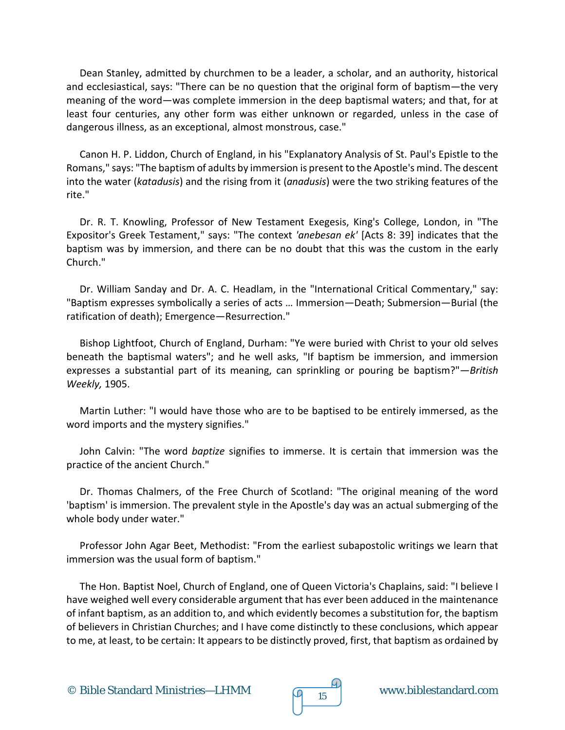Dean Stanley, admitted by churchmen to be a leader, a scholar, and an authority, historical and ecclesiastical, says: "There can be no question that the original form of baptism—the very meaning of the word—was complete immersion in the deep baptismal waters; and that, for at least four centuries, any other form was either unknown or regarded, unless in the case of dangerous illness, as an exceptional, almost monstrous, case."

Canon H. P. Liddon, Church of England, in his "Explanatory Analysis of St. Paul's Epistle to the Romans," says: "The baptism of adults by immersion is present to the Apostle's mind. The descent into the water (*katadusis*) and the rising from it (*anadusis*) were the two striking features of the rite."

Dr. R. T. Knowling, Professor of New Testament Exegesis, King's College, London, in "The Expositor's Greek Testament," says: "The context *'anebesan ek'* [Acts 8: 39] indicates that the baptism was by immersion, and there can be no doubt that this was the custom in the early Church."

Dr. William Sanday and Dr. A. C. Headlam, in the "International Critical Commentary," say: "Baptism expresses symbolically a series of acts … Immersion—Death; Submersion—Burial (the ratification of death); Emergence—Resurrection."

Bishop Lightfoot, Church of England, Durham: "Ye were buried with Christ to your old selves beneath the baptismal waters"; and he well asks, "If baptism be immersion, and immersion expresses a substantial part of its meaning, can sprinkling or pouring be baptism?"*—British Weekly,* 1905.

Martin Luther: "I would have those who are to be baptised to be entirely immersed, as the word imports and the mystery signifies."

John Calvin: "The word *baptize* signifies to immerse. It is certain that immersion was the practice of the ancient Church."

Dr. Thomas Chalmers, of the Free Church of Scotland: "The original meaning of the word 'baptism' is immersion. The prevalent style in the Apostle's day was an actual submerging of the whole body under water."

Professor John Agar Beet, Methodist: "From the earliest subapostolic writings we learn that immersion was the usual form of baptism."

The Hon. Baptist Noel, Church of England, one of Queen Victoria's Chaplains, said: "I believe I have weighed well every considerable argument that has ever been adduced in the maintenance of infant baptism, as an addition to, and which evidently becomes a substitution for, the baptism of believers in Christian Churches; and I have come distinctly to these conclusions, which appear to me, at least, to be certain: It appears to be distinctly proved, first, that baptism as ordained by